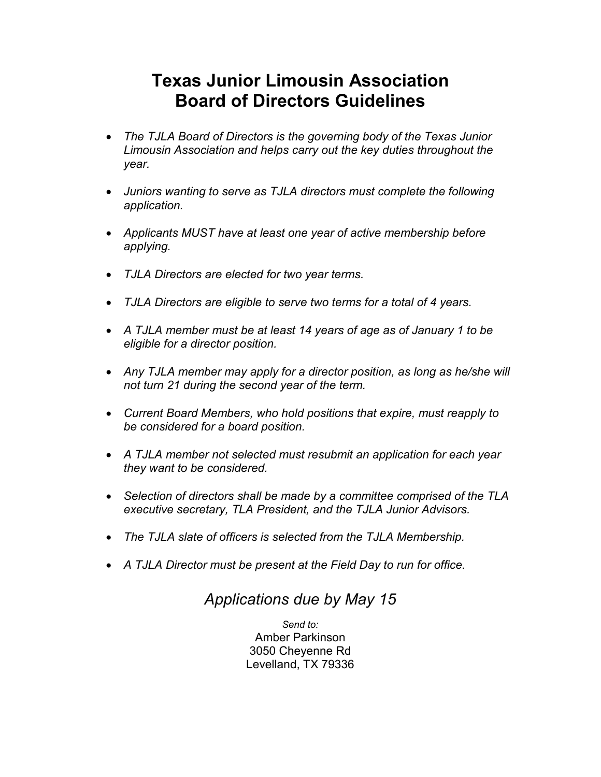## **Texas Junior Limousin Association Board of Directors Guidelines**

- *The TJLA Board of Directors is the governing body of the Texas Junior Limousin Association and helps carry out the key duties throughout the year.*
- *Juniors wanting to serve as TJLA directors must complete the following application.*
- *Applicants MUST have at least one year of active membership before applying.*
- *TJLA Directors are elected for two year terms.*
- *TJLA Directors are eligible to serve two terms for a total of 4 years.*
- *A TJLA member must be at least 14 years of age as of January 1 to be eligible for a director position.*
- *Any TJLA member may apply for a director position, as long as he/she will not turn 21 during the second year of the term.*
- *Current Board Members, who hold positions that expire, must reapply to be considered for a board position.*
- *A TJLA member not selected must resubmit an application for each year they want to be considered.*
- *Selection of directors shall be made by a committee comprised of the TLA executive secretary, TLA President, and the TJLA Junior Advisors.*
- *The TJLA slate of officers is selected from the TJLA Membership.*
- *A TJLA Director must be present at the Field Day to run for office.*

## *Applications due by May 15*

*Send to:* Amber Parkinson 3050 Cheyenne Rd Levelland, TX 79336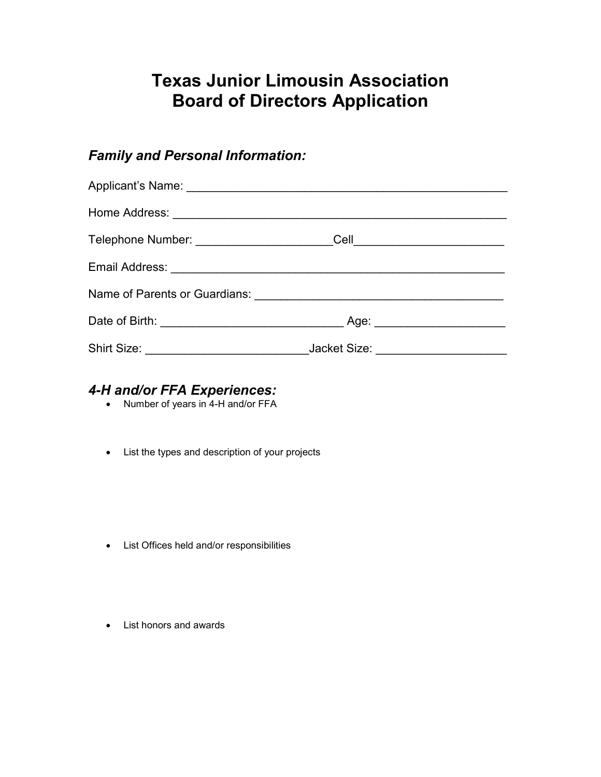# **Texas Junior Limousin Association Board of Directors Application**

## *Family and Personal Information:*

## *4-H and/or FFA Experiences:*

- Number of years in 4-H and/or FFA
- List the types and description of your projects

- List Offices held and/or responsibilities
- List honors and awards